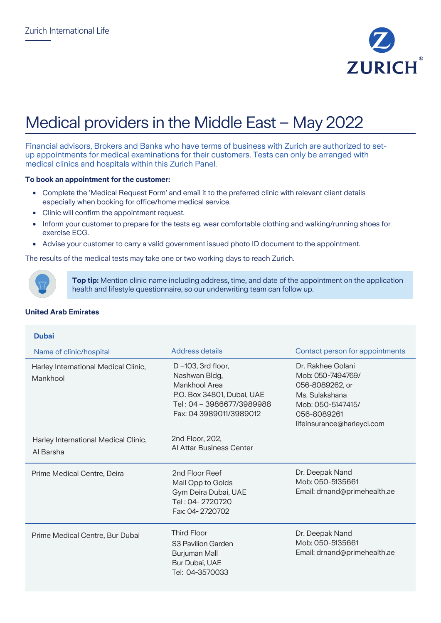

# Medical providers in the Middle East – May 2022

Financial advisors, Brokers and Banks who have terms of business with Zurich are authorized to setup appointments for medical examinations for their customers. Tests can only be arranged with medical clinics and hospitals within this Zurich Panel.

#### **To book an appointment for the customer:**

- Complete the 'Medical Request Form' and email it to the preferred clinic with relevant client details especially when booking for office/home medical service.
- Clinic will confirm the appointment request.
- Inform your customer to prepare for the tests eg. wear comfortable clothing and walking/running shoes for exercise ECG.
- Advise your customer to carry a valid government issued photo ID document to the appointment.

The results of the medical tests may take one or two working days to reach Zurich.



**Top tip:** Mention clinic name including address, time, and date of the appointment on the application health and lifestyle questionnaire, so our underwriting team can follow up.

## **United Arab Emirates**

| <b>Dubai</b>                                      |                                                                                                                                                |                                                                                                                                               |
|---------------------------------------------------|------------------------------------------------------------------------------------------------------------------------------------------------|-----------------------------------------------------------------------------------------------------------------------------------------------|
| Name of clinic/hospital                           | <b>Address details</b>                                                                                                                         | Contact person for appointments                                                                                                               |
| Harley International Medical Clinic,<br>Mankhool  | $D - 103$ , 3rd floor,<br>Nashwan Bldg,<br>Mankhool Area<br>P.O. Box 34801, Dubai, UAE<br>Tel: 04 - 3986677/3989988<br>Fax: 04 3989011/3989012 | Dr. Rakhee Golani<br>Mob: 050-7494769/<br>056-8089262, or<br>Ms. Sulakshana<br>Mob: 050-5147415/<br>056-8089261<br>lifeinsurance@harleycl.com |
| Harley International Medical Clinic,<br>Al Barsha | 2nd Floor, 202,<br>Al Attar Business Center                                                                                                    |                                                                                                                                               |
| Prime Medical Centre, Deira                       | 2nd Floor Reef<br>Mall Opp to Golds<br>Gym Deira Dubai, UAE<br>Tel: 04-2720720<br>Fax: 04-2720702                                              | Dr. Deepak Nand<br>Mob: 050-5135661<br>Email: drnand@primehealth.ae                                                                           |
| Prime Medical Centre, Bur Dubai                   | <b>Third Floor</b><br>S <sub>3</sub> Pavilion Garden<br>Burjuman Mall<br>Bur Dubai, UAE<br>Tel: 04-3570033                                     | Dr. Deepak Nand<br>Mob: 050-5135661<br>Email: drnand@primehealth.ae                                                                           |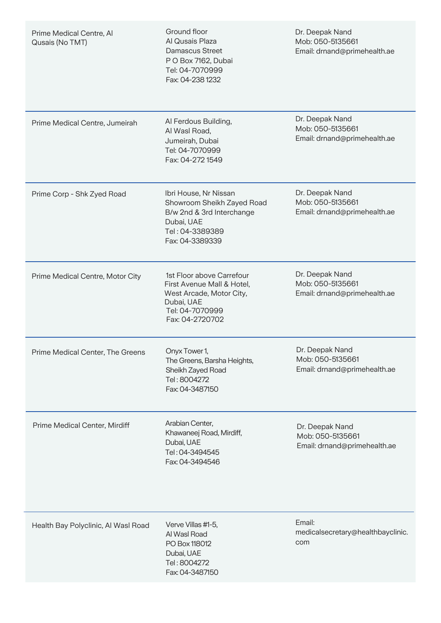| Prime Medical Centre, Al<br>Qusais (No TMT) | Ground floor<br>Al Qusais Plaza<br>Damascus Street<br>P O Box 7162, Dubai<br>Tel: 04-7070999<br>Fax: 04-238 1232                        | Dr. Deepak Nand<br>Mob: 050-5135661<br>Email: drnand@primehealth.ae |
|---------------------------------------------|-----------------------------------------------------------------------------------------------------------------------------------------|---------------------------------------------------------------------|
| Prime Medical Centre, Jumeirah              | Al Ferdous Building,<br>Al Wasl Road,<br>Jumeirah, Dubai<br>Tel: 04-7070999<br>Fax: 04-272 1549                                         | Dr. Deepak Nand<br>Mob: 050-5135661<br>Email: drnand@primehealth.ae |
| Prime Corp - Shk Zyed Road                  | Ibri House, Nr Nissan<br>Showroom Sheikh Zayed Road<br>B/w 2nd & 3rd Interchange<br>Dubai, UAE<br>Tel: 04-3389389<br>Fax: 04-3389339    | Dr. Deepak Nand<br>Mob: 050-5135661<br>Email: drnand@primehealth.ae |
| Prime Medical Centre, Motor City            | 1st Floor above Carrefour<br>First Avenue Mall & Hotel,<br>West Arcade, Motor City,<br>Dubai, UAE<br>Tel: 04-7070999<br>Fax: 04-2720702 | Dr. Deepak Nand<br>Mob: 050-5135661<br>Email: drnand@primehealth.ae |
| Prime Medical Center, The Greens            | Onyx Tower 1,<br>The Greens, Barsha Heights,<br>Sheikh Zayed Road<br>Tel: 8004272<br>Fax: 04-3487150                                    | Dr. Deepak Nand<br>Mob: 050-5135661<br>Email: drnand@primehealth.ae |
| Prime Medical Center, Mirdiff               | Arabian Center,<br>Khawaneej Road, Mirdiff,<br>Dubai, UAE<br>Tel: 04-3494545<br>Fax: 04-3494546                                         | Dr. Deepak Nand<br>Mob: 050-5135661<br>Email: drnand@primehealth.ae |
| Health Bay Polyclinic, Al Wasl Road         | Verve Villas #1-5,<br>Al Wasl Road<br>PO Box 118012<br>Dubai, UAE<br>Tel: 8004272<br>Fax: 04-3487150                                    | Email:<br>medicalsecretary@healthbayclinic.<br>com                  |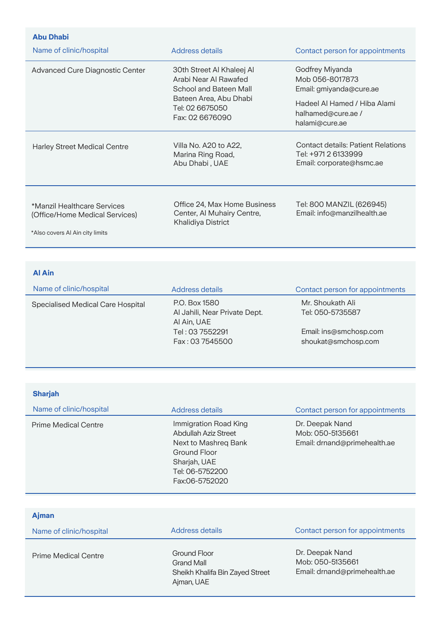| <b>Abu Dhabi</b>                                                                                 |                                                                                                                                              |                                                                                                                                       |
|--------------------------------------------------------------------------------------------------|----------------------------------------------------------------------------------------------------------------------------------------------|---------------------------------------------------------------------------------------------------------------------------------------|
| Name of clinic/hospital                                                                          | Address details                                                                                                                              | Contact person for appointments                                                                                                       |
| Advanced Cure Diagnostic Center                                                                  | 30th Street Al Khaleej Al<br>Arabi Near Al Rawafed<br>School and Bateen Mall<br>Bateen Area, Abu Dhabi<br>Tel: 02 6675050<br>Fax: 02 6676090 | Godfrey Miyanda<br>Mob 056-8017873<br>Email: gmiyanda@cure.ae<br>Hadeel Al Hamed / Hiba Alami<br>halhamed@cure.ae /<br>halami@cure.ae |
| <b>Harley Street Medical Centre</b>                                                              | Villa No. A20 to A22,<br>Marina Ring Road,<br>Abu Dhabi, UAE                                                                                 | <b>Contact details: Patient Relations</b><br>Tel: +971 2 6133999<br>Email: corporate@hsmc.ae                                          |
| *Manzil Healthcare Services<br>(Office/Home Medical Services)<br>*Also covers Al Ain city limits | Office 24, Max Home Business<br>Center, Al Muhairy Centre,<br>Khalidiya District                                                             | Tel: 800 MANZIL (626945)<br>Email: info@manzilhealth.ae                                                                               |

# **Al Ain**

| Name of clinic/hospital           | <b>Address details</b>                                                                              | Contact person for appointments                                                       |
|-----------------------------------|-----------------------------------------------------------------------------------------------------|---------------------------------------------------------------------------------------|
| Specialised Medical Care Hospital | P.O. Box 1580<br>Al Jahili, Near Private Dept.<br>Al Ain, UAE<br>Tel: 03 7552291<br>Fax: 03 7545500 | Mr. Shoukath Ali<br>Tel: 050-5735587<br>Email: ins@smchosp.com<br>shoukat@smchosp.com |

| <b>Sharjah</b>              |                                                                                                                                            |                                                                     |
|-----------------------------|--------------------------------------------------------------------------------------------------------------------------------------------|---------------------------------------------------------------------|
| Name of clinic/hospital     | Address details                                                                                                                            | Contact person for appointments                                     |
| <b>Prime Medical Centre</b> | Immigration Road King<br>Abdullah Aziz Street<br>Next to Mashreg Bank<br>Ground Floor<br>Sharjah, UAE<br>Tel: 06-5752200<br>Fax:06-5752020 | Dr. Deepak Nand<br>Mob: 050-5135661<br>Email: drnand@primehealth.ae |

| <b>Ajman</b>                |                                                                                    |                                                                     |
|-----------------------------|------------------------------------------------------------------------------------|---------------------------------------------------------------------|
| Name of clinic/hospital     | Address details                                                                    | Contact person for appointments                                     |
| <b>Prime Medical Centre</b> | Ground Floor<br><b>Grand Mall</b><br>Sheikh Khalifa Bin Zayed Street<br>Ajman, UAE | Dr. Deepak Nand<br>Mob: 050-5135661<br>Email: drnand@primehealth.ae |